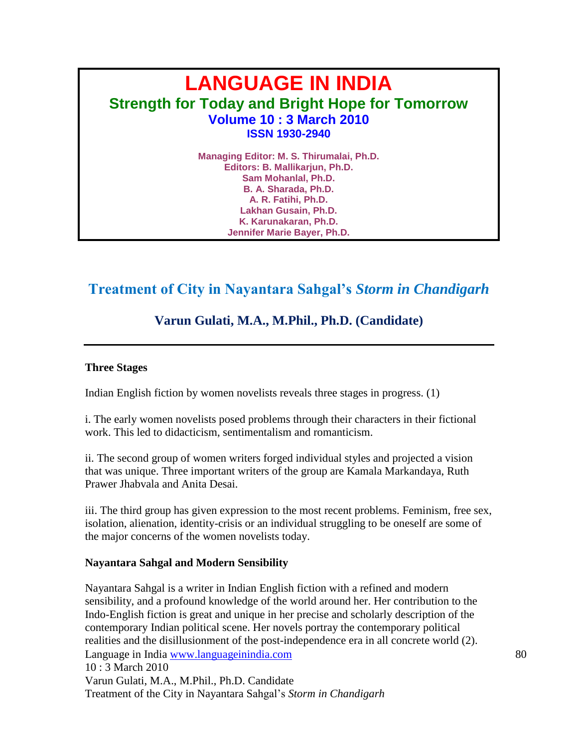# **LANGUAGE IN INDIA Strength for Today and Bright Hope for Tomorrow Volume 10 : 3 March 2010 ISSN 1930-2940**

**Managing Editor: M. S. Thirumalai, Ph.D. Editors: B. Mallikarjun, Ph.D. Sam Mohanlal, Ph.D. B. A. Sharada, Ph.D. A. R. Fatihi, Ph.D. Lakhan Gusain, Ph.D. K. Karunakaran, Ph.D. Jennifer Marie Bayer, Ph.D.**

# **Treatment of City in Nayantara Sahgal's** *Storm in Chandigarh*

# **Varun Gulati, M.A., M.Phil., Ph.D. (Candidate)**

#### **Three Stages**

Indian English fiction by women novelists reveals three stages in progress. (1)

i. The early women novelists posed problems through their characters in their fictional work. This led to didacticism, sentimentalism and romanticism.

ii. The second group of women writers forged individual styles and projected a vision that was unique. Three important writers of the group are Kamala Markandaya, Ruth Prawer Jhabvala and Anita Desai.

iii. The third group has given expression to the most recent problems. Feminism, free sex, isolation, alienation, identity-crisis or an individual struggling to be oneself are some of the major concerns of the women novelists today.

#### **Nayantara Sahgal and Modern Sensibility**

Language in India www.languageinindia.com 80 10 : 3 March 2010 Varun Gulati, M.A., M.Phil., Ph.D. Candidate Treatment of the City in Nayantara Sahgal"s *Storm in Chandigarh* Nayantara Sahgal is a writer in Indian English fiction with a refined and modern sensibility, and a profound knowledge of the world around her. Her contribution to the Indo-English fiction is great and unique in her precise and scholarly description of the contemporary Indian political scene. Her novels portray the contemporary political realities and the disillusionment of the post-independence era in all concrete world (2).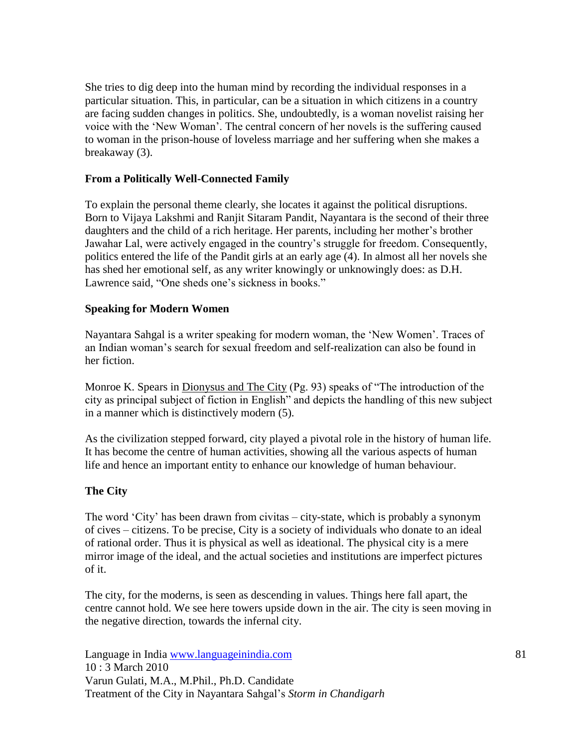She tries to dig deep into the human mind by recording the individual responses in a particular situation. This, in particular, can be a situation in which citizens in a country are facing sudden changes in politics. She, undoubtedly, is a woman novelist raising her voice with the "New Woman". The central concern of her novels is the suffering caused to woman in the prison-house of loveless marriage and her suffering when she makes a breakaway (3).

#### **From a Politically Well-Connected Family**

To explain the personal theme clearly, she locates it against the political disruptions. Born to Vijaya Lakshmi and Ranjit Sitaram Pandit, Nayantara is the second of their three daughters and the child of a rich heritage. Her parents, including her mother's brother Jawahar Lal, were actively engaged in the country"s struggle for freedom. Consequently, politics entered the life of the Pandit girls at an early age (4). In almost all her novels she has shed her emotional self, as any writer knowingly or unknowingly does: as D.H. Lawrence said, "One sheds one's sickness in books."

#### **Speaking for Modern Women**

Nayantara Sahgal is a writer speaking for modern woman, the "New Women". Traces of an Indian woman"s search for sexual freedom and self-realization can also be found in her fiction.

Monroe K. Spears in Dionysus and The City (Pg. 93) speaks of "The introduction of the city as principal subject of fiction in English" and depicts the handling of this new subject in a manner which is distinctively modern (5).

As the civilization stepped forward, city played a pivotal role in the history of human life. It has become the centre of human activities, showing all the various aspects of human life and hence an important entity to enhance our knowledge of human behaviour.

# **The City**

The word "City" has been drawn from civitas – city-state, which is probably a synonym of cives – citizens. To be precise, City is a society of individuals who donate to an ideal of rational order. Thus it is physical as well as ideational. The physical city is a mere mirror image of the ideal, and the actual societies and institutions are imperfect pictures of it.

The city, for the moderns, is seen as descending in values. Things here fall apart, the centre cannot hold. We see here towers upside down in the air. The city is seen moving in the negative direction, towards the infernal city.

Language in India www.languageinindia.com 81 10 : 3 March 2010 Varun Gulati, M.A., M.Phil., Ph.D. Candidate Treatment of the City in Nayantara Sahgal"s *Storm in Chandigarh*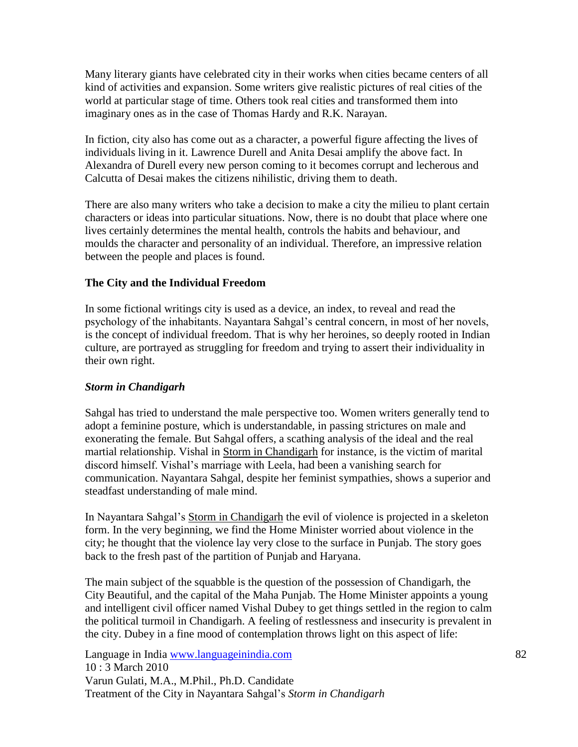Many literary giants have celebrated city in their works when cities became centers of all kind of activities and expansion. Some writers give realistic pictures of real cities of the world at particular stage of time. Others took real cities and transformed them into imaginary ones as in the case of Thomas Hardy and R.K. Narayan.

In fiction, city also has come out as a character, a powerful figure affecting the lives of individuals living in it. Lawrence Durell and Anita Desai amplify the above fact. In Alexandra of Durell every new person coming to it becomes corrupt and lecherous and Calcutta of Desai makes the citizens nihilistic, driving them to death.

There are also many writers who take a decision to make a city the milieu to plant certain characters or ideas into particular situations. Now, there is no doubt that place where one lives certainly determines the mental health, controls the habits and behaviour, and moulds the character and personality of an individual. Therefore, an impressive relation between the people and places is found.

# **The City and the Individual Freedom**

In some fictional writings city is used as a device, an index, to reveal and read the psychology of the inhabitants. Nayantara Sahgal"s central concern, in most of her novels, is the concept of individual freedom. That is why her heroines, so deeply rooted in Indian culture, are portrayed as struggling for freedom and trying to assert their individuality in their own right.

#### *Storm in Chandigarh*

Sahgal has tried to understand the male perspective too. Women writers generally tend to adopt a feminine posture, which is understandable, in passing strictures on male and exonerating the female. But Sahgal offers, a scathing analysis of the ideal and the real martial relationship. Vishal in Storm in Chandigarh for instance, is the victim of marital discord himself. Vishal"s marriage with Leela, had been a vanishing search for communication. Nayantara Sahgal, despite her feminist sympathies, shows a superior and steadfast understanding of male mind.

In Nayantara Sahgal"s Storm in Chandigarh the evil of violence is projected in a skeleton form. In the very beginning, we find the Home Minister worried about violence in the city; he thought that the violence lay very close to the surface in Punjab. The story goes back to the fresh past of the partition of Punjab and Haryana.

The main subject of the squabble is the question of the possession of Chandigarh, the City Beautiful, and the capital of the Maha Punjab. The Home Minister appoints a young and intelligent civil officer named Vishal Dubey to get things settled in the region to calm the political turmoil in Chandigarh. A feeling of restlessness and insecurity is prevalent in the city. Dubey in a fine mood of contemplation throws light on this aspect of life:

Language in India www.languageinindia.com 82 10 : 3 March 2010 Varun Gulati, M.A., M.Phil., Ph.D. Candidate Treatment of the City in Nayantara Sahgal"s *Storm in Chandigarh*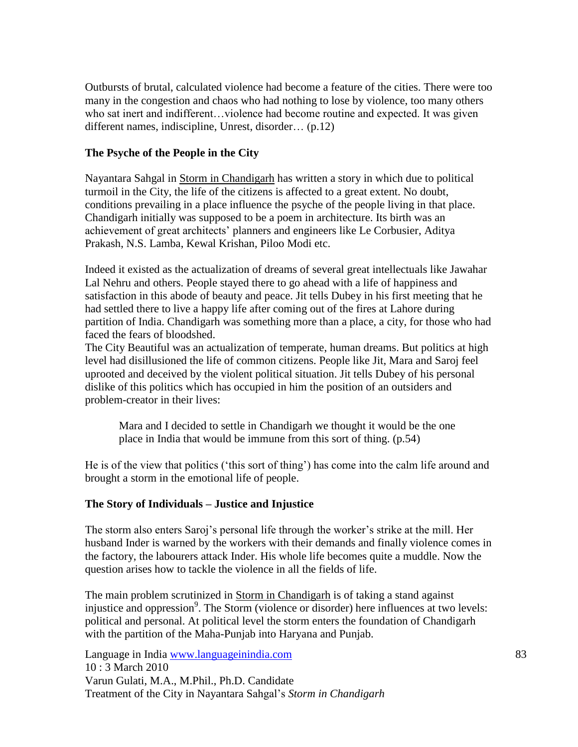Outbursts of brutal, calculated violence had become a feature of the cities. There were too many in the congestion and chaos who had nothing to lose by violence, too many others who sat inert and indifferent…violence had become routine and expected. It was given different names, indiscipline, Unrest, disorder… (p.12)

### **The Psyche of the People in the City**

Nayantara Sahgal in Storm in Chandigarh has written a story in which due to political turmoil in the City, the life of the citizens is affected to a great extent. No doubt, conditions prevailing in a place influence the psyche of the people living in that place. Chandigarh initially was supposed to be a poem in architecture. Its birth was an achievement of great architects" planners and engineers like Le Corbusier, Aditya Prakash, N.S. Lamba, Kewal Krishan, Piloo Modi etc.

Indeed it existed as the actualization of dreams of several great intellectuals like Jawahar Lal Nehru and others. People stayed there to go ahead with a life of happiness and satisfaction in this abode of beauty and peace. Jit tells Dubey in his first meeting that he had settled there to live a happy life after coming out of the fires at Lahore during partition of India. Chandigarh was something more than a place, a city, for those who had faced the fears of bloodshed.

The City Beautiful was an actualization of temperate, human dreams. But politics at high level had disillusioned the life of common citizens. People like Jit, Mara and Saroj feel uprooted and deceived by the violent political situation. Jit tells Dubey of his personal dislike of this politics which has occupied in him the position of an outsiders and problem-creator in their lives:

Mara and I decided to settle in Chandigarh we thought it would be the one place in India that would be immune from this sort of thing. (p.54)

He is of the view that politics ("this sort of thing") has come into the calm life around and brought a storm in the emotional life of people.

#### **The Story of Individuals – Justice and Injustice**

The storm also enters Saroj's personal life through the worker's strike at the mill. Her husband Inder is warned by the workers with their demands and finally violence comes in the factory, the labourers attack Inder. His whole life becomes quite a muddle. Now the question arises how to tackle the violence in all the fields of life.

The main problem scrutinized in Storm in Chandigarh is of taking a stand against injustice and oppression<sup>9</sup>. The Storm (violence or disorder) here influences at two levels: political and personal. At political level the storm enters the foundation of Chandigarh with the partition of the Maha-Punjab into Haryana and Punjab.

Language in India www.languageinindia.com 83 10 : 3 March 2010 Varun Gulati, M.A., M.Phil., Ph.D. Candidate Treatment of the City in Nayantara Sahgal"s *Storm in Chandigarh*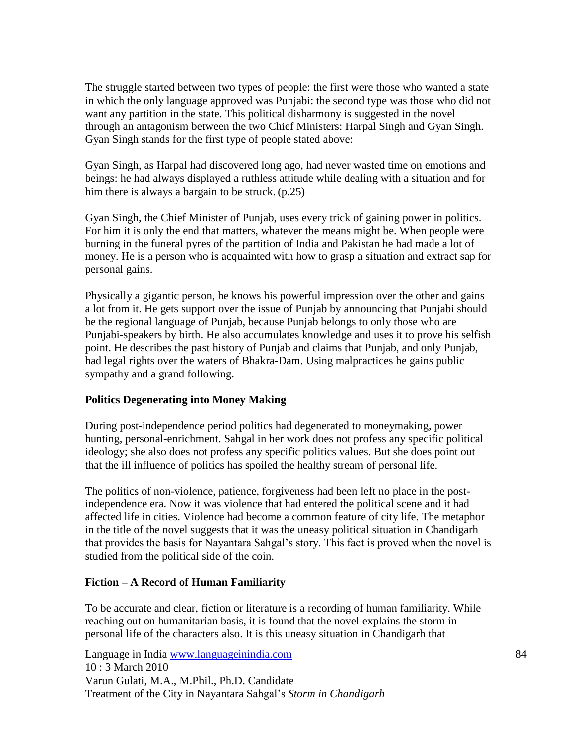The struggle started between two types of people: the first were those who wanted a state in which the only language approved was Punjabi: the second type was those who did not want any partition in the state. This political disharmony is suggested in the novel through an antagonism between the two Chief Ministers: Harpal Singh and Gyan Singh. Gyan Singh stands for the first type of people stated above:

Gyan Singh, as Harpal had discovered long ago, had never wasted time on emotions and beings: he had always displayed a ruthless attitude while dealing with a situation and for him there is always a bargain to be struck. (p.25)

Gyan Singh, the Chief Minister of Punjab, uses every trick of gaining power in politics. For him it is only the end that matters, whatever the means might be. When people were burning in the funeral pyres of the partition of India and Pakistan he had made a lot of money. He is a person who is acquainted with how to grasp a situation and extract sap for personal gains.

Physically a gigantic person, he knows his powerful impression over the other and gains a lot from it. He gets support over the issue of Punjab by announcing that Punjabi should be the regional language of Punjab, because Punjab belongs to only those who are Punjabi-speakers by birth. He also accumulates knowledge and uses it to prove his selfish point. He describes the past history of Punjab and claims that Punjab, and only Punjab, had legal rights over the waters of Bhakra-Dam. Using malpractices he gains public sympathy and a grand following.

#### **Politics Degenerating into Money Making**

During post-independence period politics had degenerated to moneymaking, power hunting, personal-enrichment. Sahgal in her work does not profess any specific political ideology; she also does not profess any specific politics values. But she does point out that the ill influence of politics has spoiled the healthy stream of personal life.

The politics of non-violence, patience, forgiveness had been left no place in the postindependence era. Now it was violence that had entered the political scene and it had affected life in cities. Violence had become a common feature of city life. The metaphor in the title of the novel suggests that it was the uneasy political situation in Chandigarh that provides the basis for Nayantara Sahgal"s story. This fact is proved when the novel is studied from the political side of the coin.

#### **Fiction – A Record of Human Familiarity**

To be accurate and clear, fiction or literature is a recording of human familiarity. While reaching out on humanitarian basis, it is found that the novel explains the storm in personal life of the characters also. It is this uneasy situation in Chandigarh that

Language in India www.languageinindia.com 84 10 : 3 March 2010 Varun Gulati, M.A., M.Phil., Ph.D. Candidate Treatment of the City in Nayantara Sahgal"s *Storm in Chandigarh*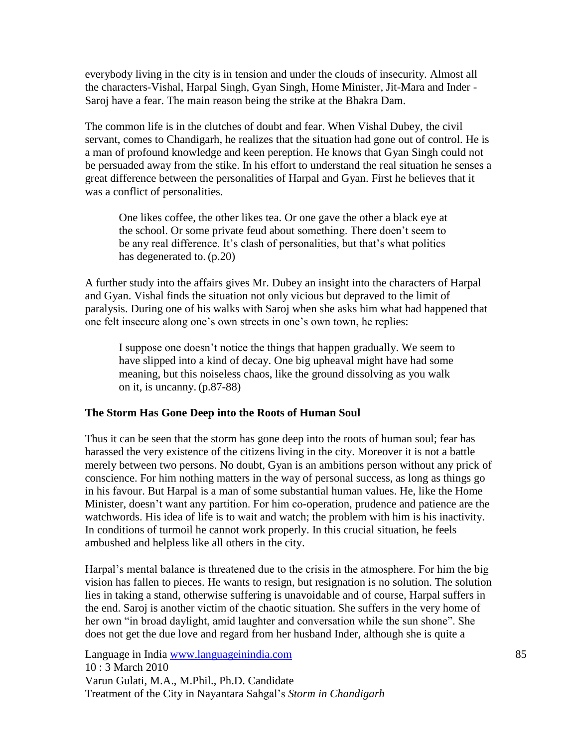everybody living in the city is in tension and under the clouds of insecurity. Almost all the characters-Vishal, Harpal Singh, Gyan Singh, Home Minister, Jit-Mara and Inder - Saroj have a fear. The main reason being the strike at the Bhakra Dam.

The common life is in the clutches of doubt and fear. When Vishal Dubey, the civil servant, comes to Chandigarh, he realizes that the situation had gone out of control. He is a man of profound knowledge and keen pereption. He knows that Gyan Singh could not be persuaded away from the stike. In his effort to understand the real situation he senses a great difference between the personalities of Harpal and Gyan. First he believes that it was a conflict of personalities.

One likes coffee, the other likes tea. Or one gave the other a black eye at the school. Or some private feud about something. There doen"t seem to be any real difference. It's clash of personalities, but that's what politics has degenerated to. (p.20)

A further study into the affairs gives Mr. Dubey an insight into the characters of Harpal and Gyan. Vishal finds the situation not only vicious but depraved to the limit of paralysis. During one of his walks with Saroj when she asks him what had happened that one felt insecure along one"s own streets in one"s own town, he replies:

I suppose one doesn"t notice the things that happen gradually. We seem to have slipped into a kind of decay. One big upheaval might have had some meaning, but this noiseless chaos, like the ground dissolving as you walk on it, is uncanny. (p.87-88)

#### **The Storm Has Gone Deep into the Roots of Human Soul**

Thus it can be seen that the storm has gone deep into the roots of human soul; fear has harassed the very existence of the citizens living in the city. Moreover it is not a battle merely between two persons. No doubt, Gyan is an ambitions person without any prick of conscience. For him nothing matters in the way of personal success, as long as things go in his favour. But Harpal is a man of some substantial human values. He, like the Home Minister, doesn't want any partition. For him co-operation, prudence and patience are the watchwords. His idea of life is to wait and watch; the problem with him is his inactivity. In conditions of turmoil he cannot work properly. In this crucial situation, he feels ambushed and helpless like all others in the city.

Harpal's mental balance is threatened due to the crisis in the atmosphere. For him the big vision has fallen to pieces. He wants to resign, but resignation is no solution. The solution lies in taking a stand, otherwise suffering is unavoidable and of course, Harpal suffers in the end. Saroj is another victim of the chaotic situation. She suffers in the very home of her own "in broad daylight, amid laughter and conversation while the sun shone". She does not get the due love and regard from her husband Inder, although she is quite a

Language in India www.languageinindia.com 85 10 : 3 March 2010 Varun Gulati, M.A., M.Phil., Ph.D. Candidate Treatment of the City in Nayantara Sahgal"s *Storm in Chandigarh*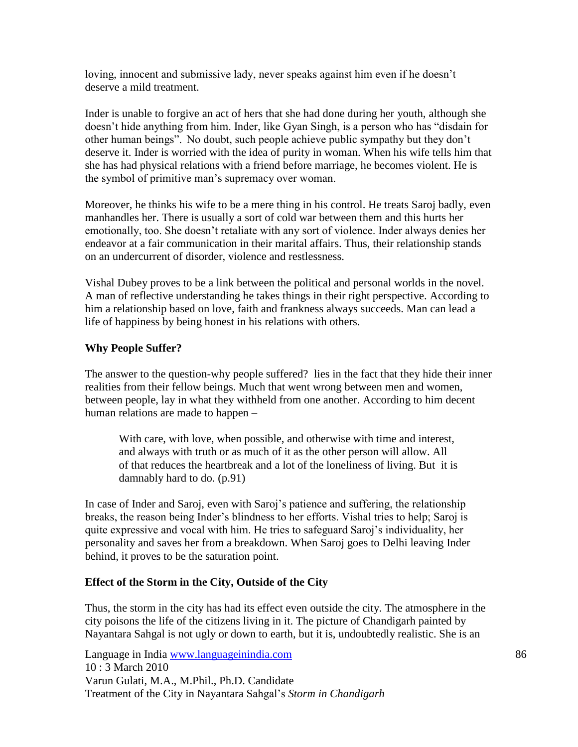loving, innocent and submissive lady, never speaks against him even if he doesn"t deserve a mild treatment.

Inder is unable to forgive an act of hers that she had done during her youth, although she doesn"t hide anything from him. Inder, like Gyan Singh, is a person who has "disdain for other human beings". No doubt, such people achieve public sympathy but they don"t deserve it. Inder is worried with the idea of purity in woman. When his wife tells him that she has had physical relations with a friend before marriage, he becomes violent. He is the symbol of primitive man"s supremacy over woman.

Moreover, he thinks his wife to be a mere thing in his control. He treats Saroj badly, even manhandles her. There is usually a sort of cold war between them and this hurts her emotionally, too. She doesn"t retaliate with any sort of violence. Inder always denies her endeavor at a fair communication in their marital affairs. Thus, their relationship stands on an undercurrent of disorder, violence and restlessness.

Vishal Dubey proves to be a link between the political and personal worlds in the novel. A man of reflective understanding he takes things in their right perspective. According to him a relationship based on love, faith and frankness always succeeds. Man can lead a life of happiness by being honest in his relations with others.

### **Why People Suffer?**

The answer to the question-why people suffered? lies in the fact that they hide their inner realities from their fellow beings. Much that went wrong between men and women, between people, lay in what they withheld from one another. According to him decent human relations are made to happen –

With care, with love, when possible, and otherwise with time and interest, and always with truth or as much of it as the other person will allow. All of that reduces the heartbreak and a lot of the loneliness of living. But it is damnably hard to do. (p.91)

In case of Inder and Saroj, even with Saroj"s patience and suffering, the relationship breaks, the reason being Inder"s blindness to her efforts. Vishal tries to help; Saroj is quite expressive and vocal with him. He tries to safeguard Saroj"s individuality, her personality and saves her from a breakdown. When Saroj goes to Delhi leaving Inder behind, it proves to be the saturation point.

#### **Effect of the Storm in the City, Outside of the City**

Thus, the storm in the city has had its effect even outside the city. The atmosphere in the city poisons the life of the citizens living in it. The picture of Chandigarh painted by Nayantara Sahgal is not ugly or down to earth, but it is, undoubtedly realistic. She is an

Language in India www.languageinindia.com 86 10 : 3 March 2010 Varun Gulati, M.A., M.Phil., Ph.D. Candidate Treatment of the City in Nayantara Sahgal"s *Storm in Chandigarh*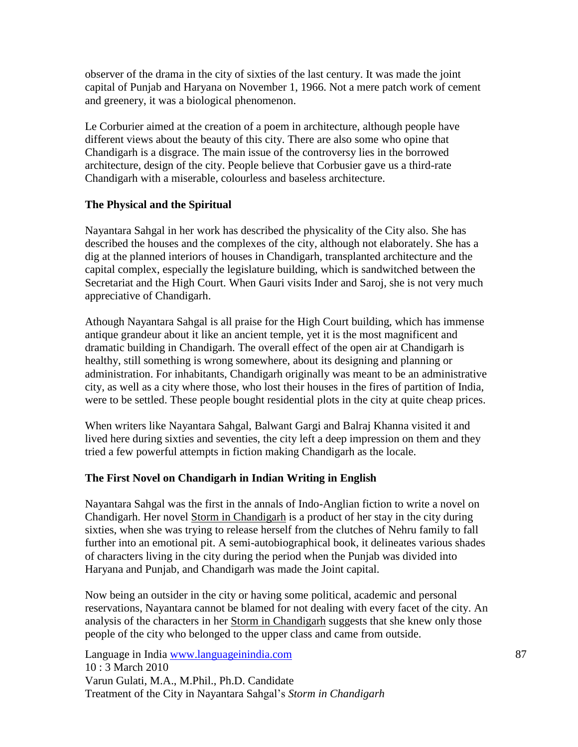observer of the drama in the city of sixties of the last century. It was made the joint capital of Punjab and Haryana on November 1, 1966. Not a mere patch work of cement and greenery, it was a biological phenomenon.

Le Corburier aimed at the creation of a poem in architecture, although people have different views about the beauty of this city. There are also some who opine that Chandigarh is a disgrace. The main issue of the controversy lies in the borrowed architecture, design of the city. People believe that Corbusier gave us a third-rate Chandigarh with a miserable, colourless and baseless architecture.

# **The Physical and the Spiritual**

Nayantara Sahgal in her work has described the physicality of the City also. She has described the houses and the complexes of the city, although not elaborately. She has a dig at the planned interiors of houses in Chandigarh, transplanted architecture and the capital complex, especially the legislature building, which is sandwitched between the Secretariat and the High Court. When Gauri visits Inder and Saroj, she is not very much appreciative of Chandigarh.

Athough Nayantara Sahgal is all praise for the High Court building, which has immense antique grandeur about it like an ancient temple, yet it is the most magnificent and dramatic building in Chandigarh. The overall effect of the open air at Chandigarh is healthy, still something is wrong somewhere, about its designing and planning or administration. For inhabitants, Chandigarh originally was meant to be an administrative city, as well as a city where those, who lost their houses in the fires of partition of India, were to be settled. These people bought residential plots in the city at quite cheap prices.

When writers like Nayantara Sahgal, Balwant Gargi and Balraj Khanna visited it and lived here during sixties and seventies, the city left a deep impression on them and they tried a few powerful attempts in fiction making Chandigarh as the locale.

# **The First Novel on Chandigarh in Indian Writing in English**

Nayantara Sahgal was the first in the annals of Indo-Anglian fiction to write a novel on Chandigarh. Her novel Storm in Chandigarh is a product of her stay in the city during sixties, when she was trying to release herself from the clutches of Nehru family to fall further into an emotional pit. A semi-autobiographical book, it delineates various shades of characters living in the city during the period when the Punjab was divided into Haryana and Punjab, and Chandigarh was made the Joint capital.

Now being an outsider in the city or having some political, academic and personal reservations, Nayantara cannot be blamed for not dealing with every facet of the city. An analysis of the characters in her Storm in Chandigarh suggests that she knew only those people of the city who belonged to the upper class and came from outside.

Language in India www.languageinindia.com 87 10 : 3 March 2010 Varun Gulati, M.A., M.Phil., Ph.D. Candidate Treatment of the City in Nayantara Sahgal"s *Storm in Chandigarh*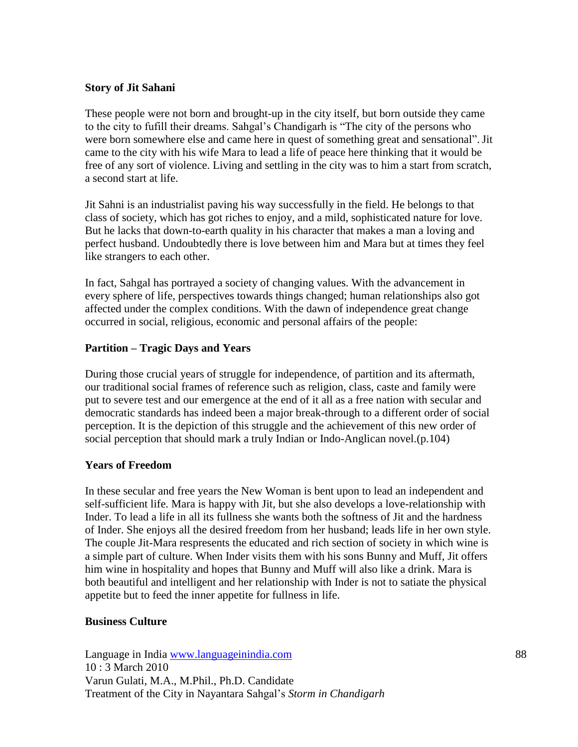#### **Story of Jit Sahani**

These people were not born and brought-up in the city itself, but born outside they came to the city to fufill their dreams. Sahgal"s Chandigarh is "The city of the persons who were born somewhere else and came here in quest of something great and sensational". Jit came to the city with his wife Mara to lead a life of peace here thinking that it would be free of any sort of violence. Living and settling in the city was to him a start from scratch, a second start at life.

Jit Sahni is an industrialist paving his way successfully in the field. He belongs to that class of society, which has got riches to enjoy, and a mild, sophisticated nature for love. But he lacks that down-to-earth quality in his character that makes a man a loving and perfect husband. Undoubtedly there is love between him and Mara but at times they feel like strangers to each other.

In fact, Sahgal has portrayed a society of changing values. With the advancement in every sphere of life, perspectives towards things changed; human relationships also got affected under the complex conditions. With the dawn of independence great change occurred in social, religious, economic and personal affairs of the people:

# **Partition – Tragic Days and Years**

During those crucial years of struggle for independence, of partition and its aftermath, our traditional social frames of reference such as religion, class, caste and family were put to severe test and our emergence at the end of it all as a free nation with secular and democratic standards has indeed been a major break-through to a different order of social perception. It is the depiction of this struggle and the achievement of this new order of social perception that should mark a truly Indian or Indo-Anglican novel.(p.104)

# **Years of Freedom**

In these secular and free years the New Woman is bent upon to lead an independent and self-sufficient life. Mara is happy with Jit, but she also develops a love-relationship with Inder. To lead a life in all its fullness she wants both the softness of Jit and the hardness of Inder. She enjoys all the desired freedom from her husband; leads life in her own style. The couple Jit-Mara respresents the educated and rich section of society in which wine is a simple part of culture. When Inder visits them with his sons Bunny and Muff, Jit offers him wine in hospitality and hopes that Bunny and Muff will also like a drink. Mara is both beautiful and intelligent and her relationship with Inder is not to satiate the physical appetite but to feed the inner appetite for fullness in life.

#### **Business Culture**

Language in India www.languageinindia.com 88 10 : 3 March 2010 Varun Gulati, M.A., M.Phil., Ph.D. Candidate Treatment of the City in Nayantara Sahgal"s *Storm in Chandigarh*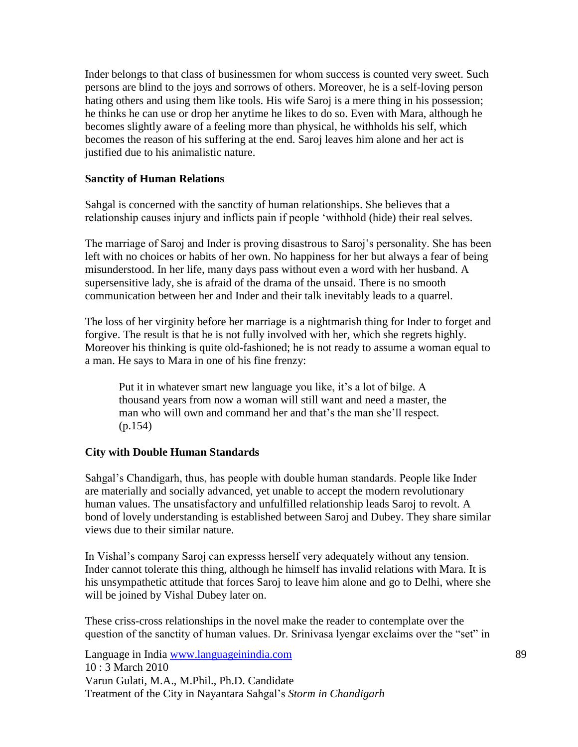Inder belongs to that class of businessmen for whom success is counted very sweet. Such persons are blind to the joys and sorrows of others. Moreover, he is a self-loving person hating others and using them like tools. His wife Saroj is a mere thing in his possession; he thinks he can use or drop her anytime he likes to do so. Even with Mara, although he becomes slightly aware of a feeling more than physical, he withholds his self, which becomes the reason of his suffering at the end. Saroj leaves him alone and her act is justified due to his animalistic nature.

# **Sanctity of Human Relations**

Sahgal is concerned with the sanctity of human relationships. She believes that a relationship causes injury and inflicts pain if people "withhold (hide) their real selves.

The marriage of Saroj and Inder is proving disastrous to Saroj"s personality. She has been left with no choices or habits of her own. No happiness for her but always a fear of being misunderstood. In her life, many days pass without even a word with her husband. A supersensitive lady, she is afraid of the drama of the unsaid. There is no smooth communication between her and Inder and their talk inevitably leads to a quarrel.

The loss of her virginity before her marriage is a nightmarish thing for Inder to forget and forgive. The result is that he is not fully involved with her, which she regrets highly. Moreover his thinking is quite old-fashioned; he is not ready to assume a woman equal to a man. He says to Mara in one of his fine frenzy:

Put it in whatever smart new language you like, it"s a lot of bilge. A thousand years from now a woman will still want and need a master, the man who will own and command her and that"s the man she"ll respect. (p.154)

#### **City with Double Human Standards**

Sahgal"s Chandigarh, thus, has people with double human standards. People like Inder are materially and socially advanced, yet unable to accept the modern revolutionary human values. The unsatisfactory and unfulfilled relationship leads Saroj to revolt. A bond of lovely understanding is established between Saroj and Dubey. They share similar views due to their similar nature.

In Vishal"s company Saroj can expresss herself very adequately without any tension. Inder cannot tolerate this thing, although he himself has invalid relations with Mara. It is his unsympathetic attitude that forces Saroj to leave him alone and go to Delhi, where she will be joined by Vishal Dubey later on.

These criss-cross relationships in the novel make the reader to contemplate over the question of the sanctity of human values. Dr. Srinivasa lyengar exclaims over the "set" in

Language in India www.languageinindia.com 89 10 : 3 March 2010 Varun Gulati, M.A., M.Phil., Ph.D. Candidate Treatment of the City in Nayantara Sahgal"s *Storm in Chandigarh*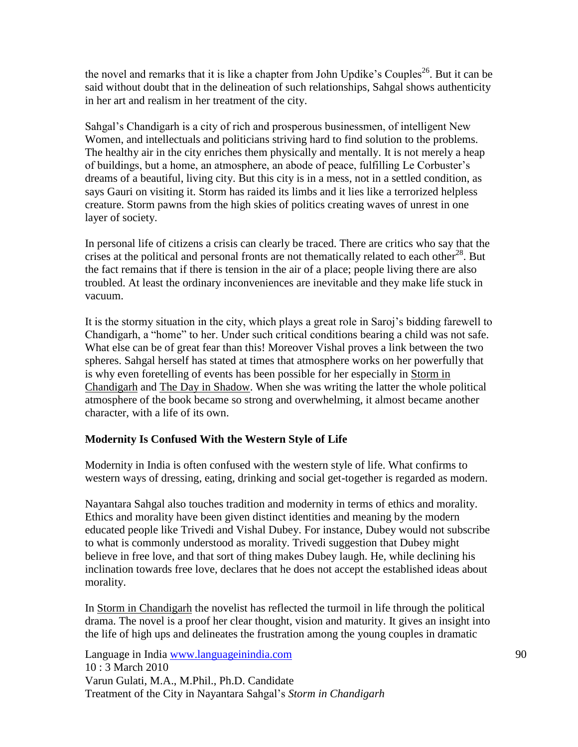the novel and remarks that it is like a chapter from John Updike's Couples<sup>26</sup>. But it can be said without doubt that in the delineation of such relationships, Sahgal shows authenticity in her art and realism in her treatment of the city.

Sahgal"s Chandigarh is a city of rich and prosperous businessmen, of intelligent New Women, and intellectuals and politicians striving hard to find solution to the problems. The healthy air in the city enriches them physically and mentally. It is not merely a heap of buildings, but a home, an atmosphere, an abode of peace, fulfilling Le Corbuster"s dreams of a beautiful, living city. But this city is in a mess, not in a settled condition, as says Gauri on visiting it. Storm has raided its limbs and it lies like a terrorized helpless creature. Storm pawns from the high skies of politics creating waves of unrest in one layer of society.

In personal life of citizens a crisis can clearly be traced. There are critics who say that the crises at the political and personal fronts are not thematically related to each other<sup>28</sup>. But the fact remains that if there is tension in the air of a place; people living there are also troubled. At least the ordinary inconveniences are inevitable and they make life stuck in vacuum.

It is the stormy situation in the city, which plays a great role in Saroj"s bidding farewell to Chandigarh, a "home" to her. Under such critical conditions bearing a child was not safe. What else can be of great fear than this! Moreover Vishal proves a link between the two spheres. Sahgal herself has stated at times that atmosphere works on her powerfully that is why even foretelling of events has been possible for her especially in Storm in Chandigarh and The Day in Shadow. When she was writing the latter the whole political atmosphere of the book became so strong and overwhelming, it almost became another character, with a life of its own.

# **Modernity Is Confused With the Western Style of Life**

Modernity in India is often confused with the western style of life. What confirms to western ways of dressing, eating, drinking and social get-together is regarded as modern.

Nayantara Sahgal also touches tradition and modernity in terms of ethics and morality. Ethics and morality have been given distinct identities and meaning by the modern educated people like Trivedi and Vishal Dubey. For instance, Dubey would not subscribe to what is commonly understood as morality. Trivedi suggestion that Dubey might believe in free love, and that sort of thing makes Dubey laugh. He, while declining his inclination towards free love, declares that he does not accept the established ideas about morality.

In Storm in Chandigarh the novelist has reflected the turmoil in life through the political drama. The novel is a proof her clear thought, vision and maturity. It gives an insight into the life of high ups and delineates the frustration among the young couples in dramatic

Language in India www.languageinindia.com 90 10 : 3 March 2010 Varun Gulati, M.A., M.Phil., Ph.D. Candidate Treatment of the City in Nayantara Sahgal"s *Storm in Chandigarh*